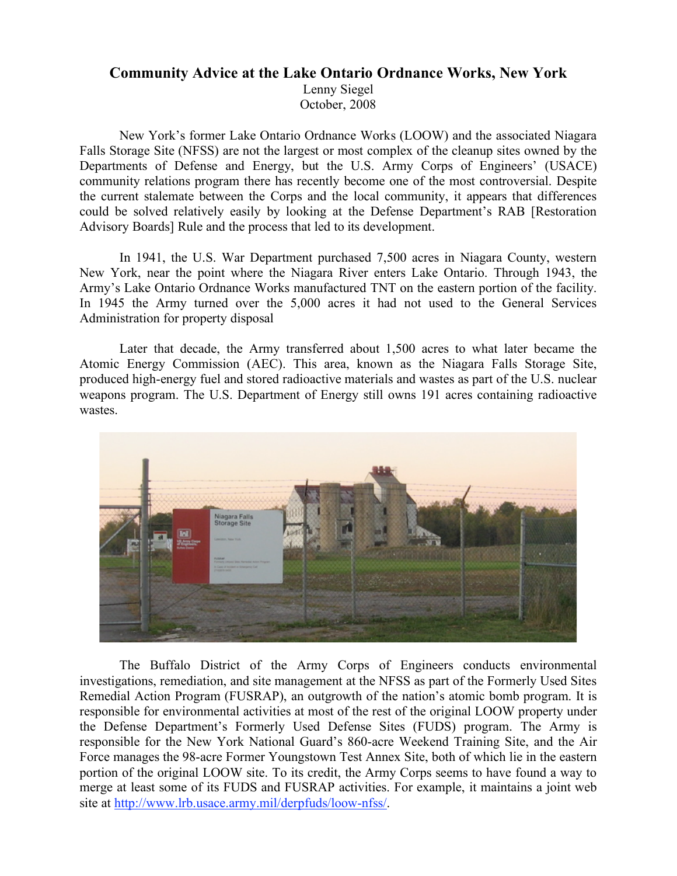## **Community Advice at the Lake Ontario Ordnance Works, New York** Lenny Siegel October, 2008

New York's former Lake Ontario Ordnance Works (LOOW) and the associated Niagara Falls Storage Site (NFSS) are not the largest or most complex of the cleanup sites owned by the Departments of Defense and Energy, but the U.S. Army Corps of Engineers' (USACE) community relations program there has recently become one of the most controversial. Despite the current stalemate between the Corps and the local community, it appears that differences could be solved relatively easily by looking at the Defense Department's RAB [Restoration Advisory Boards] Rule and the process that led to its development.

In 1941, the U.S. War Department purchased 7,500 acres in Niagara County, western New York, near the point where the Niagara River enters Lake Ontario. Through 1943, the Army's Lake Ontario Ordnance Works manufactured TNT on the eastern portion of the facility. In 1945 the Army turned over the 5,000 acres it had not used to the General Services Administration for property disposal

Later that decade, the Army transferred about 1,500 acres to what later became the Atomic Energy Commission (AEC). This area, known as the Niagara Falls Storage Site, produced high-energy fuel and stored radioactive materials and wastes as part of the U.S. nuclear weapons program. The U.S. Department of Energy still owns 191 acres containing radioactive wastes.



The Buffalo District of the Army Corps of Engineers conducts environmental investigations, remediation, and site management at the NFSS as part of the Formerly Used Sites Remedial Action Program (FUSRAP), an outgrowth of the nation's atomic bomb program. It is responsible for environmental activities at most of the rest of the original LOOW property under the Defense Department's Formerly Used Defense Sites (FUDS) program. The Army is responsible for the New York National Guard's 860-acre Weekend Training Site, and the Air Force manages the 98-acre Former Youngstown Test Annex Site, both of which lie in the eastern portion of the original LOOW site. To its credit, the Army Corps seems to have found a way to merge at least some of its FUDS and FUSRAP activities. For example, it maintains a joint web site at http://www.lrb.usace.army.mil/derpfuds/loow-nfss/.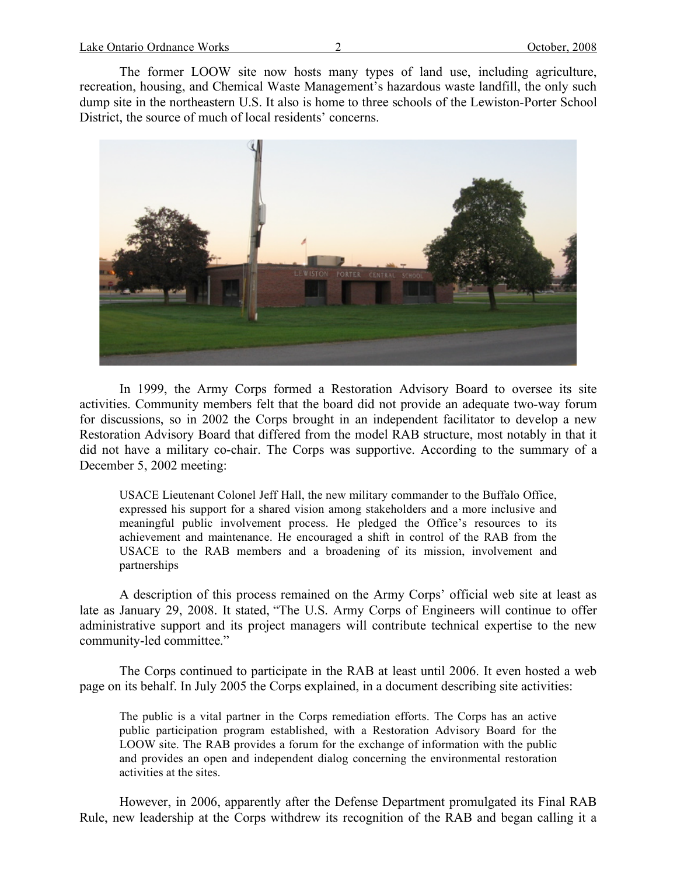The former LOOW site now hosts many types of land use, including agriculture, recreation, housing, and Chemical Waste Management's hazardous waste landfill, the only such dump site in the northeastern U.S. It also is home to three schools of the Lewiston-Porter School District, the source of much of local residents' concerns.



In 1999, the Army Corps formed a Restoration Advisory Board to oversee its site activities. Community members felt that the board did not provide an adequate two-way forum for discussions, so in 2002 the Corps brought in an independent facilitator to develop a new Restoration Advisory Board that differed from the model RAB structure, most notably in that it did not have a military co-chair. The Corps was supportive. According to the summary of a December 5, 2002 meeting:

USACE Lieutenant Colonel Jeff Hall, the new military commander to the Buffalo Office, expressed his support for a shared vision among stakeholders and a more inclusive and meaningful public involvement process. He pledged the Office's resources to its achievement and maintenance. He encouraged a shift in control of the RAB from the USACE to the RAB members and a broadening of its mission, involvement and partnerships

A description of this process remained on the Army Corps' official web site at least as late as January 29, 2008. It stated, "The U.S. Army Corps of Engineers will continue to offer administrative support and its project managers will contribute technical expertise to the new community-led committee."

The Corps continued to participate in the RAB at least until 2006. It even hosted a web page on its behalf. In July 2005 the Corps explained, in a document describing site activities:

The public is a vital partner in the Corps remediation efforts. The Corps has an active public participation program established, with a Restoration Advisory Board for the LOOW site. The RAB provides a forum for the exchange of information with the public and provides an open and independent dialog concerning the environmental restoration activities at the sites.

However, in 2006, apparently after the Defense Department promulgated its Final RAB Rule, new leadership at the Corps withdrew its recognition of the RAB and began calling it a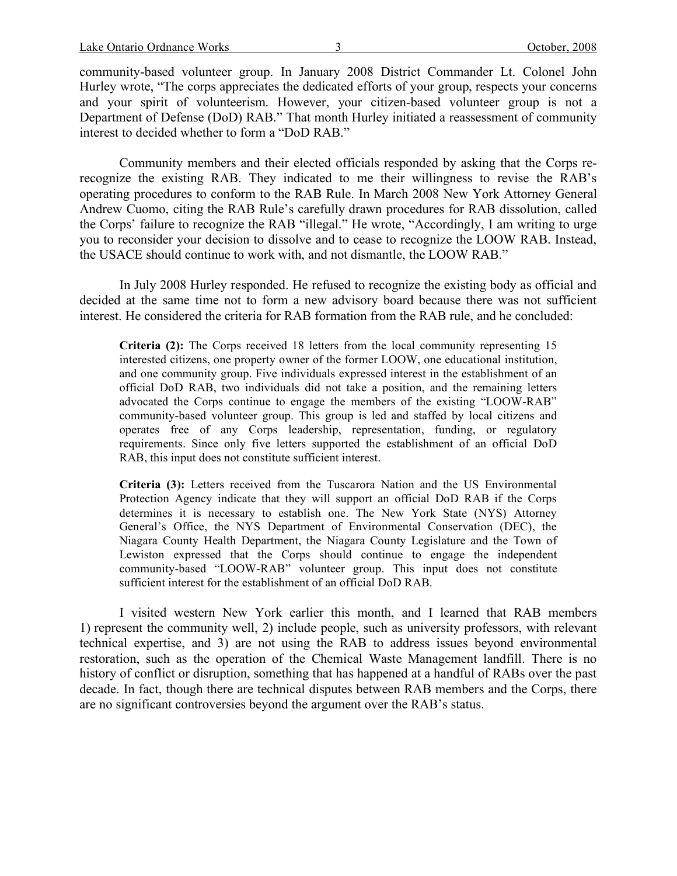community-based volunteer group. In January 2008 District Commander Lt. Colonel John Hurley wrote, "The corps appreciates the dedicated efforts of your group, respects your concerns and your spirit of volunteerism. However, your citizen-based volunteer group is not a Department of Defense (DoD) RAB." That month Hurley initiated a reassessment of community interest to decided whether to form a "DoD RAB."

Community members and their elected officials responded by asking that the Corps rerecognize the existing RAB. They indicated to me their willingness to revise the RAB's operating procedures to conform to the RAB Rule. In March 2008 New York Attorney General Andrew Cuomo, citing the RAB Rule's carefully drawn procedures for RAB dissolution, called the Corps' failure to recognize the RAB "illegal." He wrote, "Accordingly, I am writing to urge you to reconsider your decision to dissolve and to cease to recognize the LOOW RAB. Instead, the USACE should continue to work with, and not dismantle, the LOOW RAB."

In July 2008 Hurley responded. He refused to recognize the existing body as official and decided at the same time not to form a new advisory board because there was not sufficient interest. He considered the criteria for RAB formation from the RAB rule, and he concluded:

**Criteria (2):** The Corps received 18 letters from the local community representing 15 interested citizens, one property owner of the former LOOW, one educational institution, and one community group. Five individuals expressed interest in the establishment of an official DoD RAB, two individuals did not take a position, and the remaining letters advocated the Corps continue to engage the members of the existing "LOOW-RAB" community-based volunteer group. This group is led and staffed by local citizens and operates free of any Corps leadership, representation, funding, or regulatory requirements. Since only five letters supported the establishment of an official DoD RAB, this input does not constitute sufficient interest.

**Criteria (3):** Letters received from the Tuscarora Nation and the US Environmental Protection Agency indicate that they will support an official DoD RAB if the Corps determines it is necessary to establish one. The New York State (NYS) Attorney General's Office, the NYS Department of Environmental Conservation (DEC), the Niagara County Health Department, the Niagara County Legislature and the Town of Lewiston expressed that the Corps should continue to engage the independent community-based "LOOW-RAB" volunteer group. This input does not constitute sufficient interest for the establishment of an official DoD RAB.

I visited western New York earlier this month, and I learned that RAB members 1) represent the community well, 2) include people, such as university professors, with relevant technical expertise, and 3) are not using the RAB to address issues beyond environmental restoration, such as the operation of the Chemical Waste Management landfill. There is no history of conflict or disruption, something that has happened at a handful of RABs over the past decade. In fact, though there are technical disputes between RAB members and the Corps, there are no significant controversies beyond the argument over the RAB's status.